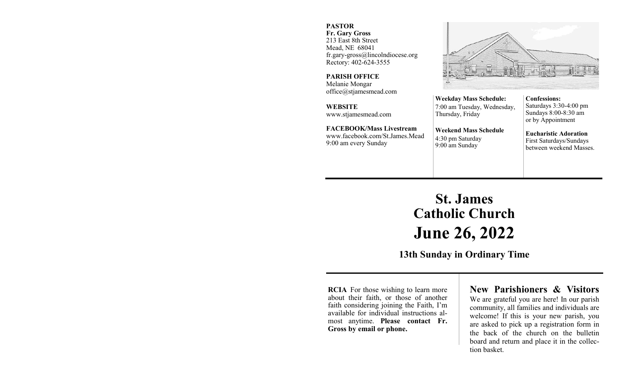#### **PASTOR**

**Fr. Gary Gross** 213 East 8th Street Mead, NE 68041 fr.gary-gross@lincolndiocese.org Rectory: 402-624-3555

**PARISH OFFICE** Melanie Mongar office@stjamesmead.com

**WEBSITE** www.stjamesmead.com

**FACEBOOK/Mass Livestream** [www.facebook.com/St.James.Mead](https://www.facebook.com/St.James.Mead/) 9:00 am every Sunday

**Confessions:**  Saturdays 3:30-4:00 pm Sundays 8:00-8:30 am or by Appointment

**Eucharistic Adoration**  First Saturdays/Sundays between weekend Masses.

# **St. James Catholic Church June 26, 2022**

**Weekday Mass Schedule:**  7:00 am Tuesday, Wednesday,

**Weekend Mass Schedule**

Thursday, Friday

4:30 pm Saturday 9:00 am Sunday

**13th Sunday in Ordinary Time**

**RCIA** For those wishing to learn more about their faith, or those of another faith considering joining the Faith, I'm available for individual instructions almost anytime. **Please contact Fr. Gross by email or phone.**

## **New Parishioners & Visitors**

We are grateful you are here! In our parish community, all families and individuals are welcome! If this is your new parish, you are asked to pick up a registration form in the back of the church on the bulletin board and return and place it in the collection basket.